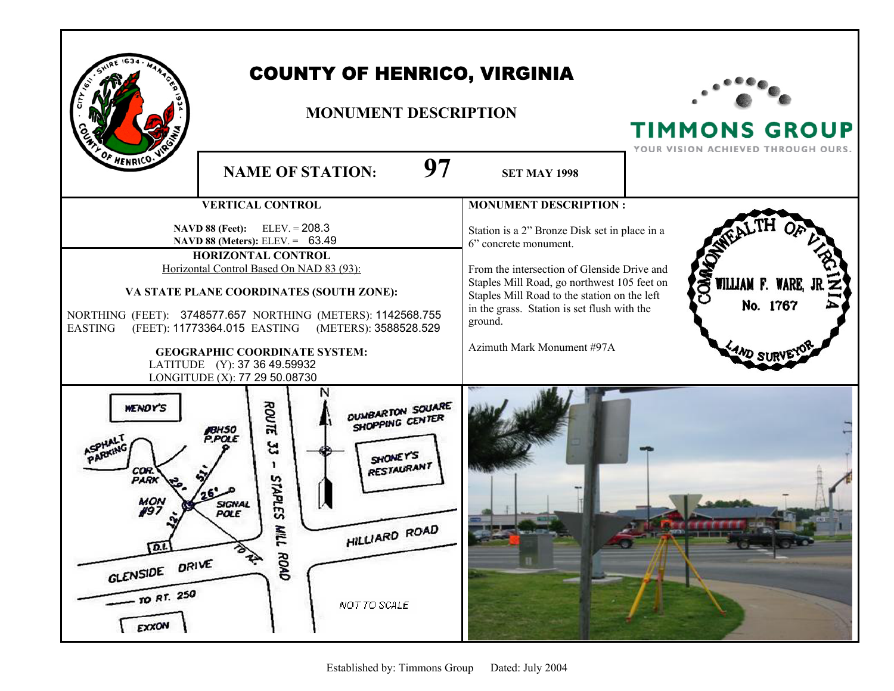| F HENRICO.V                                                                                    | <b>COUNTY OF HENRICO, VIRGINIA</b><br><b>MONUMENT DESCRIPTION</b><br>97                                                                                                                                                                                                                                                                                                                                               |                                                                                                                                                                                                                                                                                                              | <b>TIMMONS GROUP</b><br>YOUR VISION ACHIEVED THROUGH OURS. |
|------------------------------------------------------------------------------------------------|-----------------------------------------------------------------------------------------------------------------------------------------------------------------------------------------------------------------------------------------------------------------------------------------------------------------------------------------------------------------------------------------------------------------------|--------------------------------------------------------------------------------------------------------------------------------------------------------------------------------------------------------------------------------------------------------------------------------------------------------------|------------------------------------------------------------|
|                                                                                                | <b>NAME OF STATION:</b>                                                                                                                                                                                                                                                                                                                                                                                               | <b>SET MAY 1998</b>                                                                                                                                                                                                                                                                                          |                                                            |
|                                                                                                | <b>VERTICAL CONTROL</b>                                                                                                                                                                                                                                                                                                                                                                                               | <b>MONUMENT DESCRIPTION:</b>                                                                                                                                                                                                                                                                                 |                                                            |
| <b>EASTING</b>                                                                                 | <b>NAVD 88 (Feet):</b> ELEV. = $208.3$<br>NAVD 88 (Meters): ELEV. = 63.49<br>HORIZONTAL CONTROL<br>Horizontal Control Based On NAD 83 (93):<br>VA STATE PLANE COORDINATES (SOUTH ZONE):<br>NORTHING (FEET): 3748577.657 NORTHING (METERS): 1142568.755<br>(FEET): 11773364.015 EASTING (METERS): 3588528.529<br><b>GEOGRAPHIC COORDINATE SYSTEM:</b><br>LATITUDE (Y): 37 36 49.59932<br>LONGITUDE (X): 77 29 50.08730 | Station is a 2" Bronze Disk set in place in a<br>6" concrete monument.<br>From the intersection of Glenside Drive and<br>Staples Mill Road, go northwest 105 feet on<br>Staples Mill Road to the station on the left<br>in the grass. Station is set flush with the<br>ground.<br>Azimuth Mark Monument #97A | <b>COM</b><br>WILLIAM F. WARE,<br>No. 1767<br>:4ND ST      |
| WENDY'S<br>COR.<br><b>PARK</b><br>MON<br>#97<br>匝<br>GLENSIDE DRIVE<br>$-$ TO RT. 250<br>EXXON | ROUTE<br><b>DUMBARTON SOUARE</b><br>SHOPPING CENTER<br>P.POLE<br>53<br>SHONEY'S<br><b>RESTAURANT</b><br><b>STAPLES</b><br>SIGNAL<br>POLE<br>M<br>HILLIARD ROAD<br>$\overline{ }$<br><b>BRA</b><br>ROAD<br>NOT TO SCALE                                                                                                                                                                                                |                                                                                                                                                                                                                                                                                                              | $-300 - 0$<br>æ.                                           |